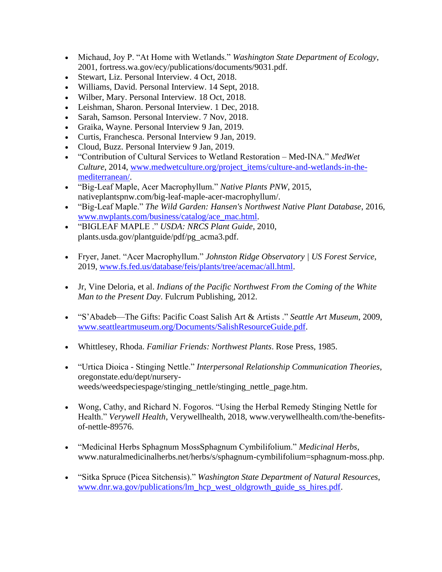- Michaud, Joy P. "At Home with Wetlands." *Washington State Department of Ecology*, 2001, fortress.wa.gov/ecy/publications/documents/9031.pdf.
- Stewart, Liz. Personal Interview. 4 Oct, 2018.
- Williams, David. Personal Interview. 14 Sept, 2018.
- Wilber, Mary. Personal Interview. 18 Oct, 2018.
- Leishman, Sharon. Personal Interview. 1 Dec, 2018.
- Sarah, Samson. Personal Interview. 7 Nov, 2018.
- Graika, Wayne. Personal Interview 9 Jan, 2019.
- Curtis, Franchesca. Personal Interview 9 Jan, 2019.
- Cloud, Buzz. Personal Interview 9 Jan, 2019.
- "Contribution of Cultural Services to Wetland Restoration Med-INA." *MedWet Culture*, 2014, [www.medwetculture.org/project\\_items/culture-and-wetlands-in-the](http://www.medwetculture.org/project_items/culture-and-wetlands-in-the-mediterranean/)[mediterranean/.](http://www.medwetculture.org/project_items/culture-and-wetlands-in-the-mediterranean/)
- "Big-Leaf Maple, Acer Macrophyllum." *Native Plants PNW*, 2015, nativeplantspnw.com/big-leaf-maple-acer-macrophyllum/.
- "Big-Leaf Maple." *The Wild Garden: Hansen's Northwest Native Plant Database*, 2016, [www.nwplants.com/business/catalog/ace\\_mac.html.](http://www.nwplants.com/business/catalog/ace_mac.html)
- "BIGLEAF MAPLE ." *USDA: NRCS Plant Guide*, 2010, plants.usda.gov/plantguide/pdf/pg\_acma3.pdf.
- Fryer, Janet. "Acer Macrophyllum." *Johnston Ridge Observatory | US Forest Service*, 2019, [www.fs.fed.us/database/feis/plants/tree/acemac/all.html.](http://www.fs.fed.us/database/feis/plants/tree/acemac/all.html)
- Jr, Vine Deloria, et al. *Indians of the Pacific Northwest From the Coming of the White Man to the Present Day*. Fulcrum Publishing, 2012.
- "S'Abadeb—The Gifts: Pacific Coast Salish Art & Artists ." *Seattle Art Museum*, 2009, [www.seattleartmuseum.org/Documents/SalishResourceGuide.pdf.](http://www.seattleartmuseum.org/Documents/SalishResourceGuide.pdf)
- Whittlesey, Rhoda. *Familiar Friends: Northwest Plants*. Rose Press, 1985.
- "Urtica Dioica Stinging Nettle." *Interpersonal Relationship Communication Theories*, oregonstate.edu/dept/nurseryweeds/weedspeciespage/stinging\_nettle/stinging\_nettle\_page.htm.
- Wong, Cathy, and Richard N. Fogoros. "Using the Herbal Remedy Stinging Nettle for Health." *Verywell Health*, Verywellhealth, 2018, www.verywellhealth.com/the-benefitsof-nettle-89576.
- "Medicinal Herbs Sphagnum MossSphagnum Cymbilifolium." *Medicinal Herbs*, www.naturalmedicinalherbs.net/herbs/s/sphagnum-cymbilifolium=sphagnum-moss.php.
- "Sitka Spruce (Picea Sitchensis)." *Washington State Department of Natural Resources*, [www.dnr.wa.gov/publications/lm\\_hcp\\_west\\_oldgrowth\\_guide\\_ss\\_hires.pdf.](http://www.dnr.wa.gov/publications/lm_hcp_west_oldgrowth_guide_ss_hires.pdf)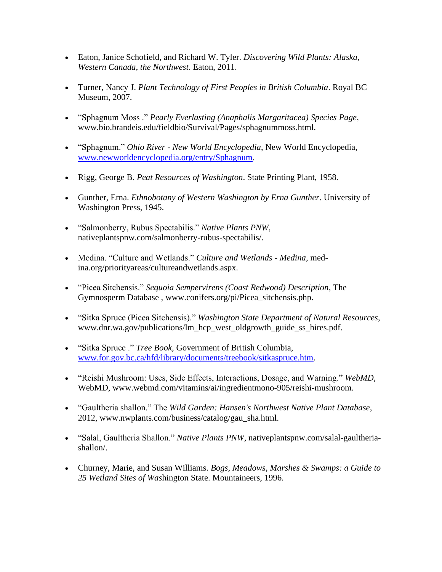- Eaton, Janice Schofield, and Richard W. Tyler. *Discovering Wild Plants: Alaska, Western Canada, the Northwest*. Eaton, 2011.
- Turner, Nancy J. *Plant Technology of First Peoples in British Columbia*. Royal BC Museum, 2007.
- "Sphagnum Moss ." *Pearly Everlasting (Anaphalis Margaritacea) Species Page*, www.bio.brandeis.edu/fieldbio/Survival/Pages/sphagnummoss.html.
- "Sphagnum." *Ohio River - New World Encyclopedia*, New World Encyclopedia, [www.newworldencyclopedia.org/entry/Sphagnum.](http://www.newworldencyclopedia.org/entry/Sphagnum)
- Rigg, George B. *Peat Resources of Washington*. State Printing Plant, 1958.
- Gunther, Erna. *Ethnobotany of Western Washington by Erna Gunther*. University of Washington Press, 1945.
- "Salmonberry, Rubus Spectabilis." *Native Plants PNW*, nativeplantspnw.com/salmonberry-rubus-spectabilis/.
- Medina. "Culture and Wetlands." *Culture and Wetlands - Medina*, medina.org/priorityareas/cultureandwetlands.aspx.
- "Picea Sitchensis." *Sequoia Sempervirens (Coast Redwood) Description*, The Gymnosperm Database , www.conifers.org/pi/Picea\_sitchensis.php.
- "Sitka Spruce (Picea Sitchensis)." *Washington State Department of Natural Resources*, www.dnr.wa.gov/publications/lm\_hcp\_west\_oldgrowth\_guide\_ss\_hires.pdf.
- "Sitka Spruce ." *Tree Book*, Government of British Columbia, [www.for.gov.bc.ca/hfd/library/documents/treebook/sitkaspruce.htm.](http://www.for.gov.bc.ca/hfd/library/documents/treebook/sitkaspruce.htm)
- "Reishi Mushroom: Uses, Side Effects, Interactions, Dosage, and Warning." *WebMD*, WebMD, www.webmd.com/vitamins/ai/ingredientmono-905/reishi-mushroom.
- "Gaultheria shallon." The *Wild Garden: Hansen's Northwest Native Plant Database*, 2012, www.nwplants.com/business/catalog/gau\_sha.html.
- "Salal, Gaultheria Shallon." *Native Plants PNW*, nativeplantspnw.com/salal-gaultheriashallon/.
- Churney, Marie, and Susan Williams. *Bogs, Meadows, Marshes & Swamps: a Guide to 25 Wetland Sites of Was*hington State. Mountaineers, 1996.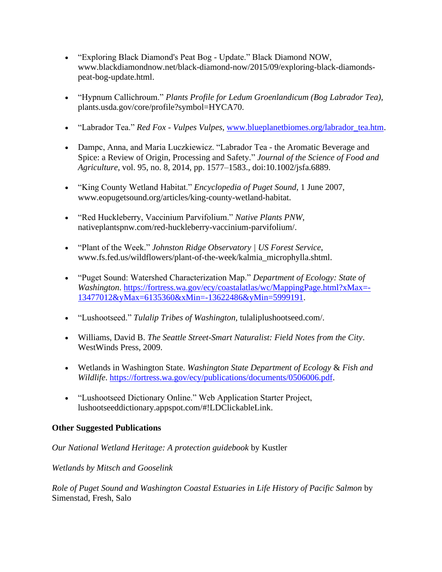- "Exploring Black Diamond's Peat Bog Update." Black Diamond NOW, www.blackdiamondnow.net/black-diamond-now/2015/09/exploring-black-diamondspeat-bog-update.html.
- "Hypnum Callichroum." *Plants Profile for Ledum Groenlandicum (Bog Labrador Tea)*, plants.usda.gov/core/profile?symbol=HYCA70.
- "Labrador Tea." *Red Fox - Vulpes Vulpes*, [www.blueplanetbiomes.org/labrador\\_tea.htm.](http://www.blueplanetbiomes.org/labrador_tea.htm)
- Dampc, Anna, and Maria Luczkiewicz. "Labrador Tea the Aromatic Beverage and Spice: a Review of Origin, Processing and Safety." *Journal of the Science of Food and Agriculture*, vol. 95, no. 8, 2014, pp. 1577–1583., doi:10.1002/jsfa.6889.
- "King County Wetland Habitat." *Encyclopedia of Puget Sound*, 1 June 2007, www.eopugetsound.org/articles/king-county-wetland-habitat.
- "Red Huckleberry, Vaccinium Parvifolium." *Native Plants PNW*, nativeplantspnw.com/red-huckleberry-vaccinium-parvifolium/.
- "Plant of the Week." *Johnston Ridge Observatory | US Forest Service*, www.fs.fed.us/wildflowers/plant-of-the-week/kalmia\_microphylla.shtml.
- "Puget Sound: Watershed Characterization Map." *Department of Ecology: State of Washington*. [https://fortress.wa.gov/ecy/coastalatlas/wc/MappingPage.html?xMax=-](https://fortress.wa.gov/ecy/coastalatlas/wc/MappingPage.html?xMax=-13477012&yMax=6135360&xMin=-13622486&yMin=5999191) [13477012&yMax=6135360&xMin=-13622486&yMin=5999191.](https://fortress.wa.gov/ecy/coastalatlas/wc/MappingPage.html?xMax=-13477012&yMax=6135360&xMin=-13622486&yMin=5999191)
- "Lushootseed." *Tulalip Tribes of Washington,* tulaliplushootseed.com/.
- Williams, David B. *The Seattle Street-Smart Naturalist: Field Notes from the City*. WestWinds Press, 2009.
- Wetlands in Washington State. *Washington State Department of Ecology* & *Fish and Wildlife*. [https://fortress.wa.gov/ecy/publications/documents/0506006.pdf.](https://fortress.wa.gov/ecy/publications/documents/0506006.pdf)
- "Lushootseed Dictionary Online." Web Application Starter Project, lushootseeddictionary.appspot.com/#!LDClickableLink.

## **Other Suggested Publications**

## *Our National Wetland Heritage: A protection guidebook* by Kustler

## *Wetlands by Mitsch and Gooselink*

*Role of Puget Sound and Washington Coastal Estuaries in Life History of Pacific Salmon* by Simenstad, Fresh, Salo